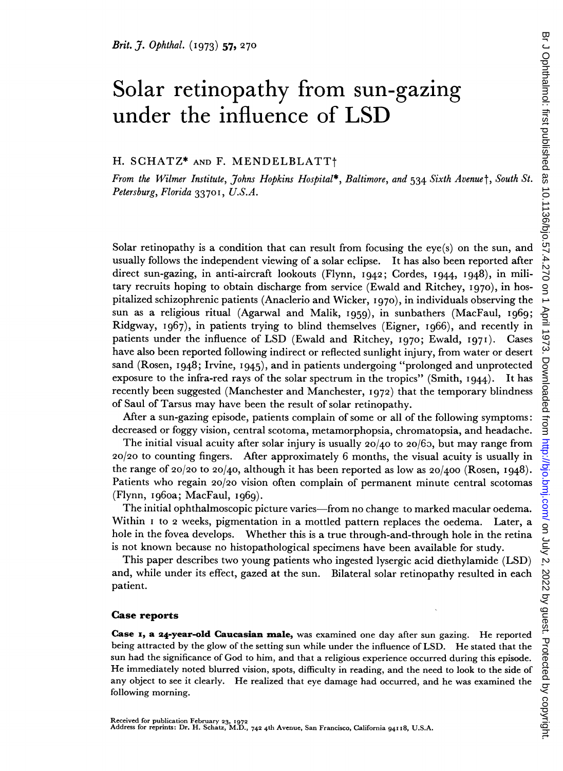# Solar retinopathy from sun-gazing under the influence of LSD

H. SCHATZ\* AND F. MENDELBLATT+

From the Wilmer Institute, Johns Hopkins Hospital\*, Baltimore, and 534 Sixth Avenuet, South St. Petersburg, Florida 3370I, U.S.A.

Solar retinopathy is a condition that can result from focusing the eye(s) on the sun, and usually follows the independent viewing of a solar eclipse. It has also been reported after direct sun-gazing, in anti-aircraft lookouts (Flynn, 1942; Cordes, I944, I948), in military recruits hoping to obtain discharge from service (Ewald and Ritchey, I970), in hospitalized schizophrenic patients (Anaclerio and Wicker, I970), in individuals observing the sun as a religious ritual (Agarwal and Malik, I959), in sunbathers (MacFaul, I969; Ridgway, I967), in patients trying to blind themselves (Eigner, I966), and recently in patients under the influence of LSD (Ewald and Ritchey, 1970; Ewald, I971). Cases have also been reported following indirect or reflected sunlight injury, from water or desert sand (Rosen, 1948; Irvine, I945), and in patients undergoing "prolonged and unprotected exposure to the infra-red rays of the solar spectrum in the tropics" (Smith, I944). It has recently been suggested (Manchester and Manchester, 1972) that the temporary blindness of Saul of Tarsus may have been the result of solar retinopathy.

After a sun-gazing episode, patients complain of some or all of the following symptoms: decreased or foggy vision, central scotoma, metamorphopsia, chromatopsia, and headache.

The initial visual acuity after solar injury is usually  $20/40$  to  $20/65$ , but may range from 20/20 to counting fingers. After approximately 6 months, the visual acuity is usually in the range of 20/20 to 20/40, although it has been reported as low as  $20/400$  (Rosen, 1948). Patients who regain 20/20 vision often complain of permanent minute central scotomas (Flynn, ig60a; MacFaul, I969).

The initial ophthalmoscopic picture varies-from no change to marked macular oedema. Within I to 2 weeks, pigmentation in a mottled pattern replaces the oedema. Later, a hole in the fovea develops. Whether this is a true through-and-through hole in the retina is not known because no histopathological specimens have been available for study.

This paper describes two young patients who ingested lysergic acid diethylamide (LSD) and, while under its effect, gazed at the sun. Bilateral solar retinopathy resulted in each patient.

#### Case reports

Case 1, a 24-year-old Caucasian male, was examined one day after sun gazing. He reported being attracted by the glow of the setting sun while under the influence of LSD. He stated that the sun had the significance of God to him, and that a religious experience occurred during this episode. He immediately noted blurred vision, spots, difficulty in reading, and the need to look to the side of any object to see it clearly. He realized that eye damage had occurred, and he was examined the following morning.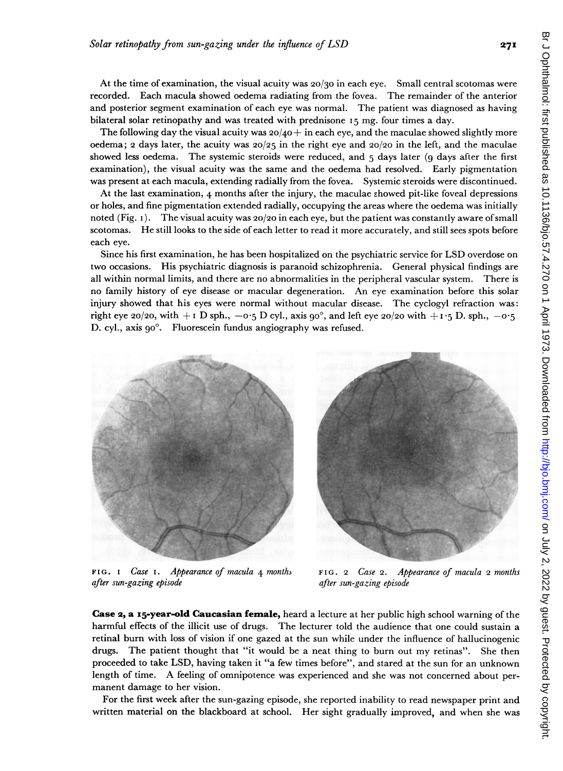At the time of examination, the visual acuity was 20/30 in each eye. Small central scotomas were recorded. Each macula showed oedema radiating from the fovea. The remainder of the anterior and posterior segment examination of each eye was normal. The patient was diagnosed as having bilateral solar retinopathy and was treated with prednisone I5 mg. four times a day.

The following day the visual acuity was  $20/40 +$  in each eye, and the maculae showed slightly more oedema; 2 days later, the acuity was  $20/25$  in the right eye and  $20/20$  in the left, and the maculae showed less oedema. The systemic steroids were reduced, and  $5$  days later (9 days after the first examination), the visual acuity was the same and the oedema had resolved. Early pigmentation was present at each macula, extending radially from the fovea. Systemic steroids were discontinued.

At the last examination, 4 months after the injury, the maculae showed pit-like foveal depressions or holes, and fine pigmentation extended radially, occupying the areas where the oedema was initially noted (Fig. i). The visual acuity was 20/20 in each eye, but the patient was constantly aware ofsmall scotomas. He still looks to the side of each letter to read it more accurately, and still sees spots before each eye.

Since his first examination, he has been hospitalized on the psychiatric service for LSD overdose on two occasions. His psychiatric diagnosis is paranoid schizophrenia. General physical findings are all within normal limits, and there are no abnormalities in the peripheral vascular system. There is no family history of eye disease or macular degeneration. An eye examination before this solar injury showed that his eyes were normal without macular disease. The cyclogyl refraction was: right eye 20/20, with  $+1$  D sph.,  $-0.5$  D cyl., axis 90°, and left eye 20/20 with  $+1.5$  D. sph.,  $-0.5$ D. cyl., axis go'. Fluorescein fundus angiography was refused.



after sun-gazing episode after sun-gazing episode

FIG. I Case I. Appearance of macula 4 months FIG. 2 Case 2. Appearance of macula 2 months

Case 2, a 15-year-old Caucasian female, heard a lecture at her public high school warning of the harmful effects of the illicit use of drugs. The lecturer told the audience that one could sustain a retinal burn with loss of vision if one gazed at the sun while under the influence of hallucinogenic drugs. The patient thought that "it would be <sup>a</sup> neat thing to burn out my retinas". She then proceeded to take LSD, having taken it "a few times before", and stared at the sun for an unknown length of time. A feeling of omnipotence was experienced and she was not concerned about permanent damage to her vision.

For the first week after the sun-gazing episode, she reported inability to read newspaper print and written material on the blackboard at school. Her sight gradually improved, and when she was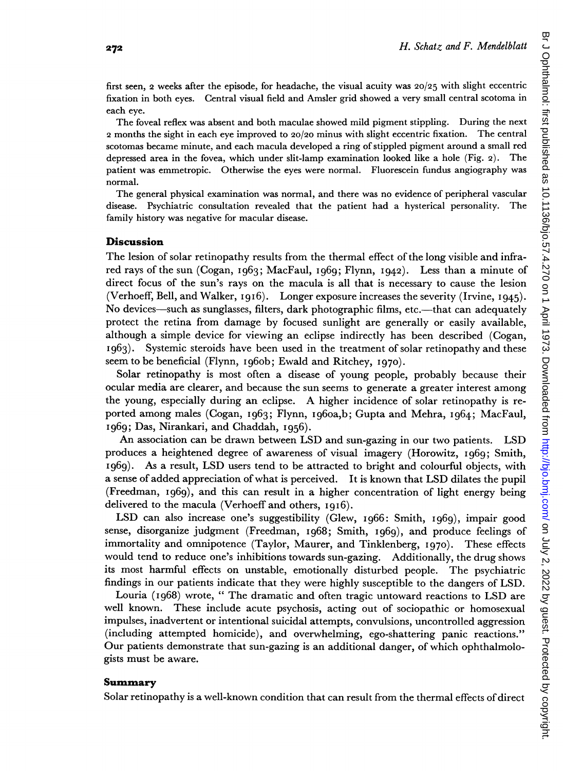first seen, 2 weeks after the episode, for headache, the visual acuity was 20/25 with slight eccentric fixation in both eyes. Central visual field and Amsler grid showed a very small central scotoma in each eye.

The foveal reflex was absent and both maculae showed mild pigment stippling. During the next 2 months the sight in each eye improved to 20/20 minus with slight eccentric fixation. The central scotomas became minute, and each macula developed a ring of stippled pigment around a small red depressed area in the fovea, which under slit-lamp examination looked like <sup>a</sup> hole (Fig. 2). The patient was emmetropic. Otherwise the eyes were normal. Fluorescein fundus angiography was normal.

The general physical examination was normal, and there was no evidence of peripheral vascular disease. Psychiatric consultation revealed that the patient had a hysterical personality. The family history was negative for macular disease.

#### **Discussion**

The lesion of solar retinopathy results from the thermal effect of the long visible and infrared rays of the sun (Cogan, I963; MacFaul, I969; Flynn, I942). Less than a minute of direct focus of the sun's rays on the macula is all that is necessary to cause the lesion (Verhoeff, Bell, and Walker,  $1916$ ). Longer exposure increases the severity (Irvine,  $1945$ ). No devices—such as sunglasses, filters, dark photographic films, etc.—that can adequately protect the retina from damage by focused sunlight are generally or easily available, although a simple device for viewing an eclipse indirectly has been described (Cogan, I963). Systemic steroids have been used in the treatment of solar retinopathy and these seem to be beneficial (Flynn, 1960b; Ewald and Ritchey, 1970).

Solar retinopathy is most often a disease of young people, probably because their ocular media are clearer, and because the sun seems to generate a greater interest among the young, especially during an eclipse. A higher incidence of solar retinopathy is reported among males (Cogan, I963; Flynn, Ig60a,b; Gupta and Mehra, I964; MacFaul, i969; Das, Nirankari, and Chaddah, 1956).

An association can be drawn between LSD and sun-gazing in our two patients. LSD produces a heightened degree of awareness of visual imagery (Horowitz, i969; Smith, i969). As a result, LSD users tend to be attracted to bright and colourful objects, with a sense of added appreciation of what is perceived. It is known that LSD dilates the pupil (Freedman, i969), and this can result in a higher concentration of light energy being delivered to the macula (Verhoeff and others, I9I6).

LSD can also increase one's suggestibility (Glew, i966: Smith, i969), impair good sense, disorganize judgment (Freedman, i968; Smith, i969), and produce feelings of immortality and omnipotence (Taylor, Maurer, and Tinklenberg, I970). These effects would tend to reduce one's inhibitions towards sun-gazing. Additionally, the drug shows its most harmful effects on unstable, emotionally disturbed people. The psychiatric findings in our patients indicate that they were highly susceptible to the dangers of LSD.

Louria (I968) wrote, " The dramatic and often tragic untoward reactions to LSD are well known. These include acute psychosis, acting out of sociopathic or homosexual impulses, inadvertent or intentional suicidal attempts, convulsions, uncontrolled aggression (including attempted homicide), and overwhelming, ego-shattering panic reactions." Our patients demonstrate that sun-gazing is an additional danger, of which ophthalmologists must be aware.

## Summary

Solar retinopathy is a well-known condition that can result from the thermal effects of direct